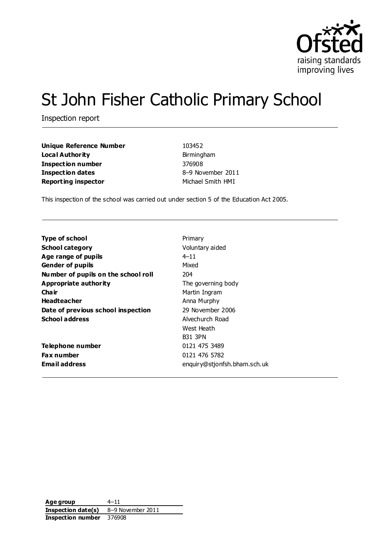

# St John Fisher Catholic Primary School

Inspection report

**Unique Reference Number** 103452 **Local Authority Birmingham Inspection number** 376908 **Inspection dates** 8–9 November 2011 **Reporting inspector** Michael Smith HMI

This inspection of the school was carried out under section 5 of the Education Act 2005.

| <b>Type of school</b>               | Primary                      |
|-------------------------------------|------------------------------|
| <b>School category</b>              | Voluntary aided              |
| Age range of pupils                 | $4 - 11$                     |
| <b>Gender of pupils</b>             | Mixed                        |
| Number of pupils on the school roll | 204                          |
| Appropriate authority               | The governing body           |
| Cha ir                              | Martin Ingram                |
| <b>Headteacher</b>                  | Anna Murphy                  |
| Date of previous school inspection  | 29 November 2006             |
| <b>School address</b>               | Alvechurch Road              |
|                                     | West Heath                   |
|                                     | <b>B31 3PN</b>               |
| Telephone number                    | 0121 475 3489                |
| <b>Fax number</b>                   | 0121 476 5782                |
| Email address                       | enquiry@stjonfsh.bham.sch.uk |

**Age group** 4-11 **Inspection date(s)** 8–9 November 2011 **Inspection number** 376908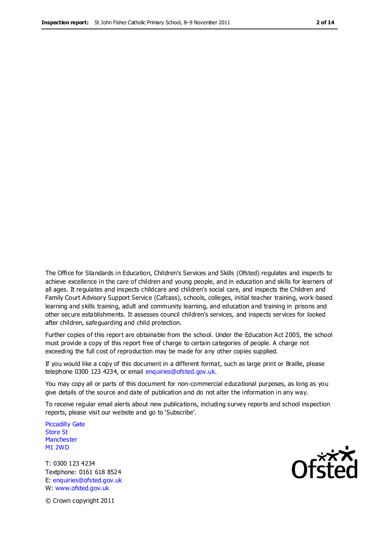The Office for Standards in Education, Children's Services and Skills (Ofsted) regulates and inspects to achieve excellence in the care of children and young people, and in education and skills for learners of all ages. It regulates and inspects childcare and children's social care, and inspects the Children and Family Court Advisory Support Service (Cafcass), schools, colleges, initial teacher training, work-based learning and skills training, adult and community learning, and education and training in prisons and other secure establishments. It assesses council children's services, and inspects services for looked after children, safeguarding and child protection.

Further copies of this report are obtainable from the school. Under the Education Act 2005, the school must provide a copy of this report free of charge to certain categories of people. A charge not exceeding the full cost of reproduction may be made for any other copies supplied.

If you would like a copy of this document in a different format, such as large print or Braille, please telephone 0300 123 4234, or email enquiries@ofsted.gov.uk.

You may copy all or parts of this document for non-commercial educational purposes, as long as you give details of the source and date of publication and do not alter the information in any way.

To receive regular email alerts about new publications, including survey reports and school inspection reports, please visit our website and go to 'Subscribe'.

Piccadilly Gate Store St **Manchester** M1 2WD

T: 0300 123 4234 Textphone: 0161 618 8524 E: enquiries@ofsted.gov.uk W: www.ofsted.gov.uk

Ofsted

© Crown copyright 2011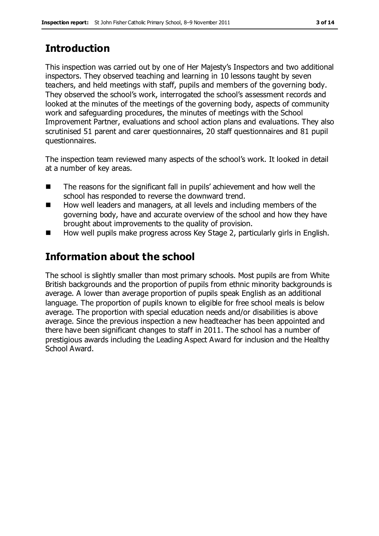# **Introduction**

This inspection was carried out by one of Her Majesty's Inspectors and two additional inspectors. They observed teaching and learning in 10 lessons taught by seven teachers, and held meetings with staff, pupils and members of the governing body. They observed the school's work, interrogated the school's assessment records and looked at the minutes of the meetings of the governing body, aspects of community work and safeguarding procedures, the minutes of meetings with the School Improvement Partner, evaluations and school action plans and evaluations. They also scrutinised 51 parent and carer questionnaires, 20 staff questionnaires and 81 pupil questionnaires.

The inspection team reviewed many aspects of the school's work. It looked in detail at a number of key areas.

- The reasons for the significant fall in pupils' achievement and how well the school has responded to reverse the downward trend.
- How well leaders and managers, at all levels and including members of the governing body, have and accurate overview of the school and how they have brought about improvements to the quality of provision.
- How well pupils make progress across Key Stage 2, particularly girls in English.

# **Information about the school**

The school is slightly smaller than most primary schools. Most pupils are from White British backgrounds and the proportion of pupils from ethnic minority backgrounds is average. A lower than average proportion of pupils speak English as an additional language. The proportion of pupils known to eligible for free school meals is below average. The proportion with special education needs and/or disabilities is above average. Since the previous inspection a new headteacher has been appointed and there have been significant changes to staff in 2011. The school has a number of prestigious awards including the Leading Aspect Award for inclusion and the Healthy School Award.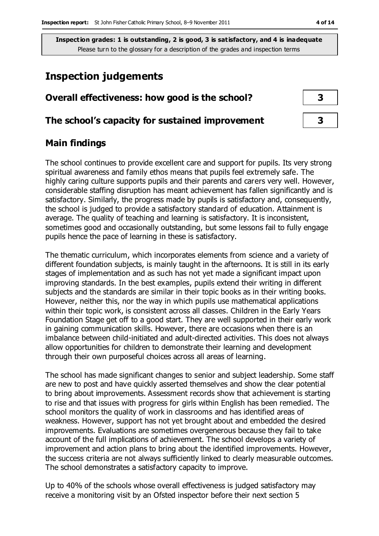# **Inspection judgements**

# **Overall effectiveness: how good is the school? 3**

#### **The school's capacity for sustained improvement 3**

#### **Main findings**

The school continues to provide excellent care and support for pupils. Its very strong spiritual awareness and family ethos means that pupils feel extremely safe. The highly caring culture supports pupils and their parents and carers very well. However, considerable staffing disruption has meant achievement has fallen significantly and is satisfactory. Similarly, the progress made by pupils is satisfactory and, consequently, the school is judged to provide a satisfactory standard of education. Attainment is average. The quality of teaching and learning is satisfactory. It is inconsistent, sometimes good and occasionally outstanding, but some lessons fail to fully engage pupils hence the pace of learning in these is satisfactory.

The thematic curriculum, which incorporates elements from science and a variety of different foundation subjects, is mainly taught in the afternoons. It is still in its early stages of implementation and as such has not yet made a significant impact upon improving standards. In the best examples, pupils extend their writing in different subjects and the standards are similar in their topic books as in their writing books. However, neither this, nor the way in which pupils use mathematical applications within their topic work, is consistent across all classes. Children in the Early Years Foundation Stage get off to a good start. They are well supported in their early work in gaining communication skills. However, there are occasions when there is an imbalance between child-initiated and adult-directed activities. This does not always allow opportunities for children to demonstrate their learning and development through their own purposeful choices across all areas of learning.

The school has made significant changes to senior and subject leadership. Some staff are new to post and have quickly asserted themselves and show the clear potential to bring about improvements. Assessment records show that achievement is starting to rise and that issues with progress for girls within English has been remedied. The school monitors the quality of work in classrooms and has identified areas of weakness. However, support has not yet brought about and embedded the desired improvements. Evaluations are sometimes overgenerous because they fail to take account of the full implications of achievement. The school develops a variety of improvement and action plans to bring about the identified improvements. However, the success criteria are not always sufficiently linked to clearly measurable outcomes. The school demonstrates a satisfactory capacity to improve.

Up to 40% of the schools whose overall effectiveness is judged satisfactory may receive a monitoring visit by an Ofsted inspector before their next section 5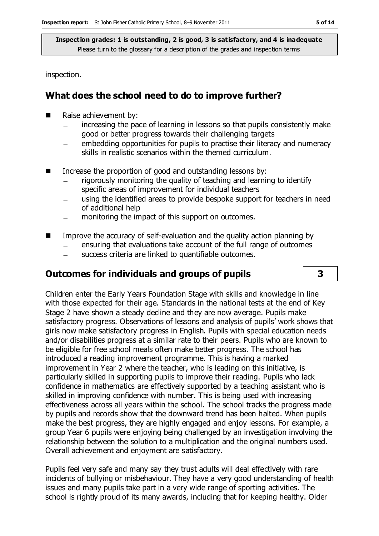inspection.

## **What does the school need to do to improve further?**

- Raise achievement by:
	- increasing the pace of learning in lessons so that pupils consistently make good or better progress towards their challenging targets
	- embedding opportunities for pupils to practise their literacy and numeracy  $\equiv$ skills in realistic scenarios within the themed curriculum.
- Increase the proportion of good and outstanding lessons by:
	- rigorously monitoring the quality of teaching and learning to identify specific areas of improvement for individual teachers
	- using the identified areas to provide bespoke support for teachers in need of additional help
	- monitoring the impact of this support on outcomes.  $\overline{\phantom{0}}$
- $\blacksquare$  Improve the accuracy of self-evaluation and the quality action planning by
	- ensuring that evaluations take account of the full range of outcomes
	- $\frac{1}{2}$ success criteria are linked to quantifiable outcomes.

## **Outcomes for individuals and groups of pupils 3**

Children enter the Early Years Foundation Stage with skills and knowledge in line with those expected for their age. Standards in the national tests at the end of Key Stage 2 have shown a steady decline and they are now average. Pupils make satisfactory progress. Observations of lessons and analysis of pupils' work shows that girls now make satisfactory progress in English. Pupils with special education needs and/or disabilities progress at a similar rate to their peers. Pupils who are known to be eligible for free school meals often make better progress. The school has introduced a reading improvement programme. This is having a marked improvement in Year 2 where the teacher, who is leading on this initiative, is particularly skilled in supporting pupils to improve their reading. Pupils who lack confidence in mathematics are effectively supported by a teaching assistant who is skilled in improving confidence with number. This is being used with increasing effectiveness across all years within the school. The school tracks the progress made by pupils and records show that the downward trend has been halted. When pupils make the best progress, they are highly engaged and enjoy lessons. For example, a group Year 6 pupils were enjoying being challenged by an investigation involving the relationship between the solution to a multiplication and the original numbers used. Overall achievement and enjoyment are satisfactory.

Pupils feel very safe and many say they trust adults will deal effectively with rare incidents of bullying or misbehaviour. They have a very good understanding of health issues and many pupils take part in a very wide range of sporting activities. The school is rightly proud of its many awards, including that for keeping healthy. Older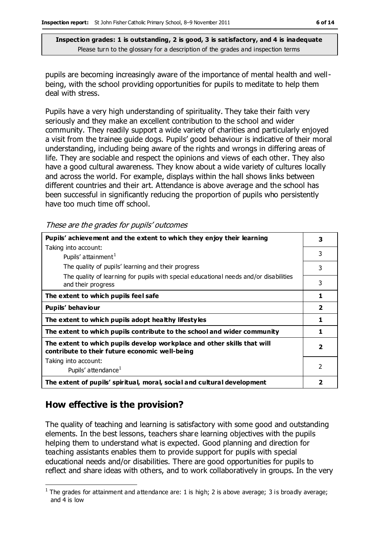pupils are becoming increasingly aware of the importance of mental health and wellbeing, with the school providing opportunities for pupils to meditate to help them deal with stress.

Pupils have a very high understanding of spirituality. They take their faith very seriously and they make an excellent contribution to the school and wider community. They readily support a wide variety of charities and particularly enjoyed a visit from the trainee guide dogs. Pupils' good behaviour is indicative of their moral understanding, including being aware of the rights and wrongs in differing areas of life. They are sociable and respect the opinions and views of each other. They also have a good cultural awareness. They know about a wide variety of cultures locally and across the world. For example, displays within the hall shows links between different countries and their art. Attendance is above average and the school has been successful in significantly reducing the proportion of pupils who persistently have too much time off school.

These are the grades for pupils' outcomes

| Pupils' achievement and the extent to which they enjoy their learning                                                     |                          |  |
|---------------------------------------------------------------------------------------------------------------------------|--------------------------|--|
| Taking into account:                                                                                                      |                          |  |
| Pupils' attainment <sup>1</sup>                                                                                           | 3                        |  |
| The quality of pupils' learning and their progress                                                                        | 3                        |  |
| The quality of learning for pupils with special educational needs and/or disabilities<br>and their progress               | 3                        |  |
| The extent to which pupils feel safe                                                                                      | 1                        |  |
| Pupils' behaviour                                                                                                         | $\overline{2}$           |  |
| The extent to which pupils adopt healthy lifestyles                                                                       | 1                        |  |
| The extent to which pupils contribute to the school and wider community                                                   | 1                        |  |
| The extent to which pupils develop workplace and other skills that will<br>contribute to their future economic well-being | $\overline{\mathbf{2}}$  |  |
| Taking into account:                                                                                                      |                          |  |
| Pupils' attendance <sup>1</sup>                                                                                           | $\overline{\phantom{a}}$ |  |
| The extent of pupils' spiritual, moral, social and cultural development                                                   | 2                        |  |

## **How effective is the provision?**

The quality of teaching and learning is satisfactory with some good and outstanding elements. In the best lessons, teachers share learning objectives with the pupils helping them to understand what is expected. Good planning and direction for teaching assistants enables them to provide support for pupils with special educational needs and/or disabilities. There are good opportunities for pupils to reflect and share ideas with others, and to work collaboratively in groups. In the very

 $\overline{a}$ <sup>1</sup> The grades for attainment and attendance are: 1 is high; 2 is above average; 3 is broadly average; and 4 is low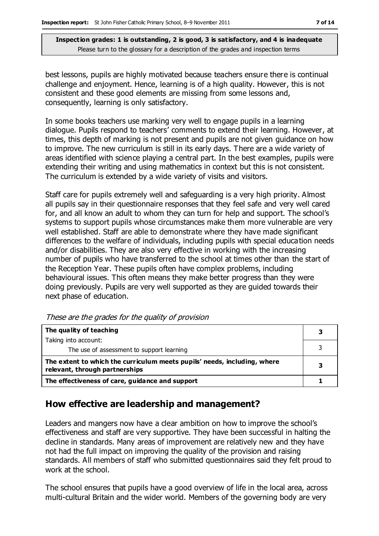best lessons, pupils are highly motivated because teachers ensure there is continual challenge and enjoyment. Hence, learning is of a high quality. However, this is not consistent and these good elements are missing from some lessons and, consequently, learning is only satisfactory.

In some books teachers use marking very well to engage pupils in a learning dialogue. Pupils respond to teachers' comments to extend their learning. However, at times, this depth of marking is not present and pupils are not given guidance on how to improve. The new curriculum is still in its early days. There are a wide variety of areas identified with science playing a central part. In the best examples, pupils were extending their writing and using mathematics in context but this is not consistent. The curriculum is extended by a wide variety of visits and visitors.

Staff care for pupils extremely well and safeguarding is a very high priority. Almost all pupils say in their questionnaire responses that they feel safe and very well cared for, and all know an adult to whom they can turn for help and support. The school's systems to support pupils whose circumstances make them more vulnerable are very well established. Staff are able to demonstrate where they have made significant differences to the welfare of individuals, including pupils with special education needs and/or disabilities. They are also very effective in working with the increasing number of pupils who have transferred to the school at times other than the start of the Reception Year. These pupils often have complex problems, including behavioural issues. This often means they make better progress than they were doing previously. Pupils are very well supported as they are guided towards their next phase of education.

| The quality of teaching                                                                                    | 3 |
|------------------------------------------------------------------------------------------------------------|---|
| Taking into account:                                                                                       |   |
| The use of assessment to support learning                                                                  |   |
| The extent to which the curriculum meets pupils' needs, including, where<br>relevant, through partnerships |   |
| The effectiveness of care, guidance and support                                                            |   |

These are the grades for the quality of provision

## **How effective are leadership and management?**

Leaders and mangers now have a clear ambition on how to improve the school's effectiveness and staff are very supportive. They have been successful in halting the decline in standards. Many areas of improvement are relatively new and they have not had the full impact on improving the quality of the provision and raising standards. All members of staff who submitted questionnaires said they felt proud to work at the school.

The school ensures that pupils have a good overview of life in the local area, across multi-cultural Britain and the wider world. Members of the governing body are very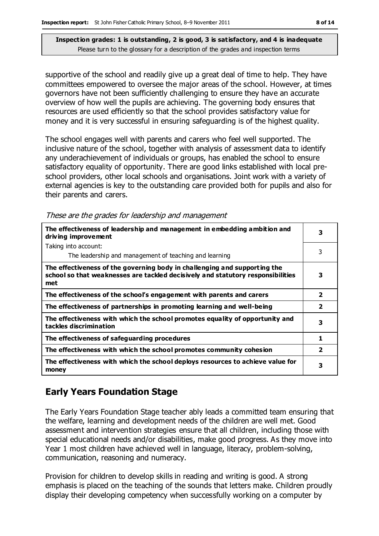supportive of the school and readily give up a great deal of time to help. They have committees empowered to oversee the major areas of the school. However, at times governors have not been sufficiently challenging to ensure they have an accurate overview of how well the pupils are achieving. The governing body ensures that resources are used efficiently so that the school provides satisfactory value for money and it is very successful in ensuring safeguarding is of the highest quality.

The school engages well with parents and carers who feel well supported. The inclusive nature of the school, together with analysis of assessment data to identify any underachievement of individuals or groups, has enabled the school to ensure satisfactory equality of opportunity. There are good links established with local preschool providers, other local schools and organisations. Joint work with a variety of external agencies is key to the outstanding care provided both for pupils and also for their parents and carers.

These are the grades for leadership and management

| The effectiveness of leadership and management in embedding ambition and<br>driving improvement                                                                     |                         |  |
|---------------------------------------------------------------------------------------------------------------------------------------------------------------------|-------------------------|--|
| Taking into account:                                                                                                                                                |                         |  |
| The leadership and management of teaching and learning                                                                                                              | 3                       |  |
| The effectiveness of the governing body in challenging and supporting the<br>school so that weaknesses are tackled decisively and statutory responsibilities<br>met | 3                       |  |
| The effectiveness of the school's engagement with parents and carers                                                                                                | $\overline{\mathbf{2}}$ |  |
| The effectiveness of partnerships in promoting learning and well-being                                                                                              | $\overline{\mathbf{2}}$ |  |
| The effectiveness with which the school promotes equality of opportunity and<br>tackles discrimination                                                              | 3                       |  |
| The effectiveness of safeguarding procedures                                                                                                                        | 1                       |  |
| The effectiveness with which the school promotes community cohesion                                                                                                 | $\overline{\mathbf{2}}$ |  |
| The effectiveness with which the school deploys resources to achieve value for<br>money                                                                             | 3                       |  |

## **Early Years Foundation Stage**

The Early Years Foundation Stage teacher ably leads a committed team ensuring that the welfare, learning and development needs of the children are well met. Good assessment and intervention strategies ensure that all children, including those with special educational needs and/or disabilities, make good progress. As they move into Year 1 most children have achieved well in language, literacy, problem-solving, communication, reasoning and numeracy.

Provision for children to develop skills in reading and writing is good. A strong emphasis is placed on the teaching of the sounds that letters make. Children proudly display their developing competency when successfully working on a computer by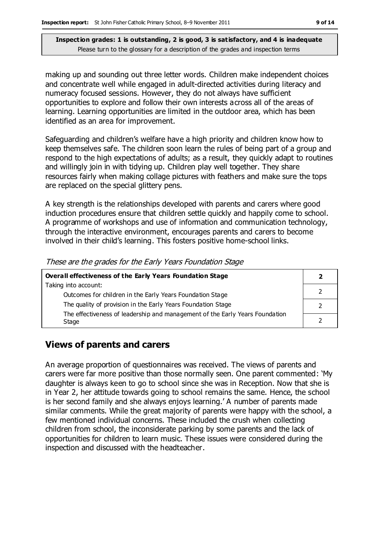making up and sounding out three letter words. Children make independent choices and concentrate well while engaged in adult-directed activities during literacy and numeracy focused sessions. However, they do not always have sufficient opportunities to explore and follow their own interests across all of the areas of learning. Learning opportunities are limited in the outdoor area, which has been identified as an area for improvement.

Safeguarding and children's welfare have a high priority and children know how to keep themselves safe. The children soon learn the rules of being part of a group and respond to the high expectations of adults; as a result, they quickly adapt to routines and willingly join in with tidying up. Children play well together. They share resources fairly when making collage pictures with feathers and make sure the tops are replaced on the special glittery pens.

A key strength is the relationships developed with parents and carers where good induction procedures ensure that children settle quickly and happily come to school. A programme of workshops and use of information and communication technology, through the interactive environment, encourages parents and carers to become involved in their child's learning. This fosters positive home-school links.

| Overall effectiveness of the Early Years Foundation Stage                             |  |  |
|---------------------------------------------------------------------------------------|--|--|
| Taking into account:                                                                  |  |  |
| Outcomes for children in the Early Years Foundation Stage                             |  |  |
| The quality of provision in the Early Years Foundation Stage                          |  |  |
| The effectiveness of leadership and management of the Early Years Foundation<br>Stage |  |  |
|                                                                                       |  |  |

#### These are the grades for the Early Years Foundation Stage

## **Views of parents and carers**

An average proportion of questionnaires was received. The views of parents and carers were far more positive than those normally seen. One parent commented: 'My daughter is always keen to go to school since she was in Reception. Now that she is in Year 2, her attitude towards going to school remains the same. Hence, the school is her second family and she always enjoys learning.' A number of parents made similar comments. While the great majority of parents were happy with the school, a few mentioned individual concerns. These included the crush when collecting children from school, the inconsiderate parking by some parents and the lack of opportunities for children to learn music. These issues were considered during the inspection and discussed with the headteacher.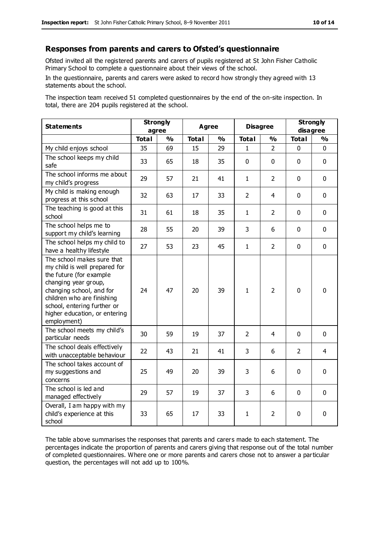#### **Responses from parents and carers to Ofsted's questionnaire**

Ofsted invited all the registered parents and carers of pupils registered at St John Fisher Catholic Primary School to complete a questionnaire about their views of the school.

In the questionnaire, parents and carers were asked to record how strongly they agreed with 13 statements about the school.

The inspection team received 51 completed questionnaires by the end of the on-site inspection. In total, there are 204 pupils registered at the school.

| <b>Statements</b>                                                                                                                                                                                                                                       | <b>Strongly</b><br>agree |               | <b>Agree</b> |               |                | <b>Disagree</b> |                | <b>Strongly</b><br>disagree |  |
|---------------------------------------------------------------------------------------------------------------------------------------------------------------------------------------------------------------------------------------------------------|--------------------------|---------------|--------------|---------------|----------------|-----------------|----------------|-----------------------------|--|
|                                                                                                                                                                                                                                                         | <b>Total</b>             | $\frac{1}{2}$ | <b>Total</b> | $\frac{1}{2}$ | <b>Total</b>   | $\frac{1}{2}$   | <b>Total</b>   | $\frac{1}{2}$               |  |
| My child enjoys school                                                                                                                                                                                                                                  | 35                       | 69            | 15           | 29            | $\mathbf{1}$   | $\overline{2}$  | $\mathbf 0$    | $\mathbf 0$                 |  |
| The school keeps my child<br>safe                                                                                                                                                                                                                       | 33                       | 65            | 18           | 35            | $\mathbf 0$    | $\mathbf 0$     | $\mathbf 0$    | $\mathbf 0$                 |  |
| The school informs me about<br>my child's progress                                                                                                                                                                                                      | 29                       | 57            | 21           | 41            | $\mathbf{1}$   | $\overline{2}$  | $\mathbf 0$    | $\mathbf 0$                 |  |
| My child is making enough<br>progress at this school                                                                                                                                                                                                    | 32                       | 63            | 17           | 33            | $\overline{2}$ | 4               | $\mathbf 0$    | $\mathbf 0$                 |  |
| The teaching is good at this<br>school                                                                                                                                                                                                                  | 31                       | 61            | 18           | 35            | $\mathbf{1}$   | $\overline{2}$  | $\mathbf 0$    | $\mathbf 0$                 |  |
| The school helps me to<br>support my child's learning                                                                                                                                                                                                   | 28                       | 55            | 20           | 39            | 3              | 6               | $\Omega$       | $\mathbf 0$                 |  |
| The school helps my child to<br>have a healthy lifestyle                                                                                                                                                                                                | 27                       | 53            | 23           | 45            | $\mathbf{1}$   | $\overline{2}$  | $\mathbf 0$    | $\mathbf 0$                 |  |
| The school makes sure that<br>my child is well prepared for<br>the future (for example<br>changing year group,<br>changing school, and for<br>children who are finishing<br>school, entering further or<br>higher education, or entering<br>employment) | 24                       | 47            | 20           | 39            | $\mathbf{1}$   | $\overline{2}$  | $\mathbf{0}$   | $\mathbf 0$                 |  |
| The school meets my child's<br>particular needs                                                                                                                                                                                                         | 30                       | 59            | 19           | 37            | $\overline{2}$ | 4               | $\mathbf 0$    | $\mathbf 0$                 |  |
| The school deals effectively<br>with unacceptable behaviour                                                                                                                                                                                             | 22                       | 43            | 21           | 41            | 3              | 6               | $\overline{2}$ | 4                           |  |
| The school takes account of<br>my suggestions and<br>concerns                                                                                                                                                                                           | 25                       | 49            | 20           | 39            | 3              | 6               | $\mathbf 0$    | $\mathbf 0$                 |  |
| The school is led and<br>managed effectively                                                                                                                                                                                                            | 29                       | 57            | 19           | 37            | 3              | 6               | $\mathbf 0$    | $\mathbf 0$                 |  |
| Overall, I am happy with my<br>child's experience at this<br>school                                                                                                                                                                                     | 33                       | 65            | 17           | 33            | $\mathbf{1}$   | 2               | $\mathbf 0$    | $\mathbf 0$                 |  |

The table above summarises the responses that parents and carers made to each statement. The percentages indicate the proportion of parents and carers giving that response out of the total number of completed questionnaires. Where one or more parents and carers chose not to answer a particular question, the percentages will not add up to 100%.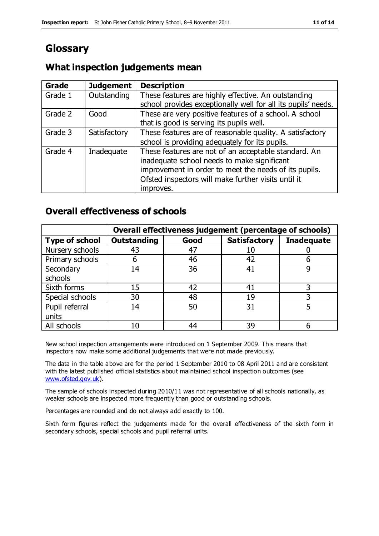# **Glossary**

## **What inspection judgements mean**

| <b>Grade</b> | <b>Judgement</b> | <b>Description</b>                                            |
|--------------|------------------|---------------------------------------------------------------|
| Grade 1      | Outstanding      | These features are highly effective. An outstanding           |
|              |                  | school provides exceptionally well for all its pupils' needs. |
| Grade 2      | Good             | These are very positive features of a school. A school        |
|              |                  | that is good is serving its pupils well.                      |
| Grade 3      | Satisfactory     | These features are of reasonable quality. A satisfactory      |
|              |                  | school is providing adequately for its pupils.                |
| Grade 4      | Inadequate       | These features are not of an acceptable standard. An          |
|              |                  | inadequate school needs to make significant                   |
|              |                  | improvement in order to meet the needs of its pupils.         |
|              |                  | Ofsted inspectors will make further visits until it           |
|              |                  | improves.                                                     |

#### **Overall effectiveness of schools**

|                       | Overall effectiveness judgement (percentage of schools) |      |                     |                   |
|-----------------------|---------------------------------------------------------|------|---------------------|-------------------|
| <b>Type of school</b> | <b>Outstanding</b>                                      | Good | <b>Satisfactory</b> | <b>Inadequate</b> |
| Nursery schools       | 43                                                      | 47   | 10                  |                   |
| Primary schools       | 6                                                       | 46   | 42                  |                   |
| Secondary             | 14                                                      | 36   | 41                  |                   |
| schools               |                                                         |      |                     |                   |
| Sixth forms           | 15                                                      | 42   | 41                  | 3                 |
| Special schools       | 30                                                      | 48   | 19                  |                   |
| Pupil referral        | 14                                                      | 50   | 31                  |                   |
| units                 |                                                         |      |                     |                   |
| All schools           | 10                                                      | 44   | 39                  |                   |

New school inspection arrangements were introduced on 1 September 2009. This means that inspectors now make some additional judgements that were not made previously.

The data in the table above are for the period 1 September 2010 to 08 April 2011 and are consistent with the latest published official statistics about maintained school inspection outcomes (see [www.ofsted.gov.uk\)](http://www.ofsted.gov.uk/).

The sample of schools inspected during 2010/11 was not representative of all schools nationally, as weaker schools are inspected more frequently than good or outstanding schools.

Percentages are rounded and do not always add exactly to 100.

Sixth form figures reflect the judgements made for the overall effectiveness of the sixth form in secondary schools, special schools and pupil referral units.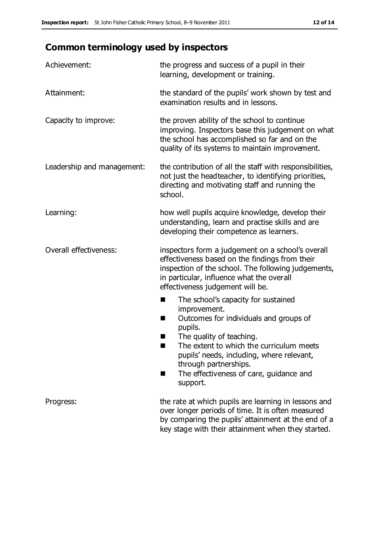# **Common terminology used by inspectors**

| Achievement:                  | the progress and success of a pupil in their<br>learning, development or training.                                                                                                                                                                                                                                           |  |  |
|-------------------------------|------------------------------------------------------------------------------------------------------------------------------------------------------------------------------------------------------------------------------------------------------------------------------------------------------------------------------|--|--|
| Attainment:                   | the standard of the pupils' work shown by test and<br>examination results and in lessons.                                                                                                                                                                                                                                    |  |  |
| Capacity to improve:          | the proven ability of the school to continue<br>improving. Inspectors base this judgement on what<br>the school has accomplished so far and on the<br>quality of its systems to maintain improvement.                                                                                                                        |  |  |
| Leadership and management:    | the contribution of all the staff with responsibilities,<br>not just the headteacher, to identifying priorities,<br>directing and motivating staff and running the<br>school.                                                                                                                                                |  |  |
| Learning:                     | how well pupils acquire knowledge, develop their<br>understanding, learn and practise skills and are<br>developing their competence as learners.                                                                                                                                                                             |  |  |
| <b>Overall effectiveness:</b> | inspectors form a judgement on a school's overall<br>effectiveness based on the findings from their<br>inspection of the school. The following judgements,<br>in particular, influence what the overall<br>effectiveness judgement will be.                                                                                  |  |  |
|                               | The school's capacity for sustained<br>■<br>improvement.<br>Outcomes for individuals and groups of<br>H<br>pupils.<br>The quality of teaching.<br>The extent to which the curriculum meets<br>pupils' needs, including, where relevant,<br>through partnerships.<br>The effectiveness of care, guidance and<br>٠<br>support. |  |  |
| Progress:                     | the rate at which pupils are learning in lessons and<br>over longer periods of time. It is often measured<br>by comparing the pupils' attainment at the end of a<br>key stage with their attainment when they started.                                                                                                       |  |  |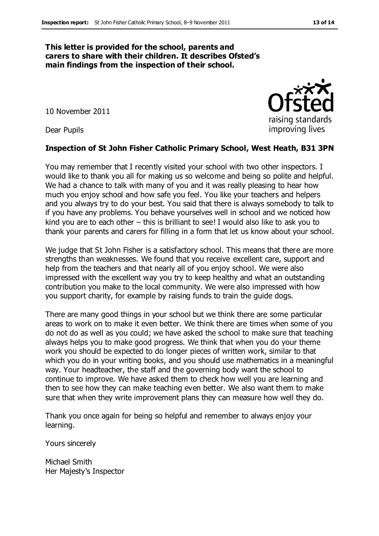#### **This letter is provided for the school, parents and carers to share with their children. It describes Ofsted's main findings from the inspection of their school.**

10 November 2011

Dear Pupils

#### **Inspection of St John Fisher Catholic Primary School, West Heath, B31 3PN**

You may remember that I recently visited your school with two other inspectors. I would like to thank you all for making us so welcome and being so polite and helpful. We had a chance to talk with many of you and it was really pleasing to hear how much you enjoy school and how safe you feel. You like your teachers and helpers and you always try to do your best. You said that there is always somebody to talk to if you have any problems. You behave yourselves well in school and we noticed how kind you are to each other – this is brilliant to see! I would also like to ask you to thank your parents and carers for filling in a form that let us know about your school.

We judge that St John Fisher is a satisfactory school. This means that there are more strengths than weaknesses. We found that you receive excellent care, support and help from the teachers and that nearly all of you enjoy school. We were also impressed with the excellent way you try to keep healthy and what an outstanding contribution you make to the local community. We were also impressed with how you support charity, for example by raising funds to train the guide dogs.

There are many good things in your school but we think there are some particular areas to work on to make it even better. We think there are times when some of you do not do as well as you could; we have asked the school to make sure that teaching always helps you to make good progress. We think that when you do your theme work you should be expected to do longer pieces of written work, similar to that which you do in your writing books, and you should use mathematics in a meaningful way. Your headteacher, the staff and the governing body want the school to continue to improve. We have asked them to check how well you are learning and then to see how they can make teaching even better. We also want them to make sure that when they write improvement plans they can measure how well they do.

Thank you once again for being so helpful and remember to always enjoy your learning.

Yours sincerely

Michael Smith Her Majesty's Inspector